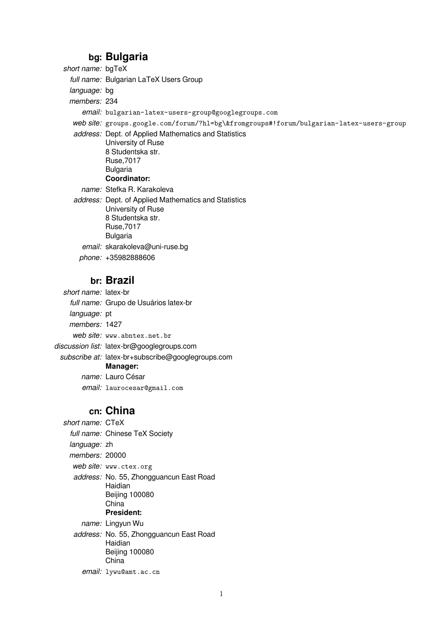## **bg: Bulgaria**

| short name: bgTeX |                                                                                                                                                         |
|-------------------|---------------------------------------------------------------------------------------------------------------------------------------------------------|
|                   | full name: Bulgarian LaTeX Users Group                                                                                                                  |
| language: bg      |                                                                                                                                                         |
| members: 234      |                                                                                                                                                         |
|                   | email: bulgarian-latex-users-group@googlegroups.com                                                                                                     |
|                   | web site: groups.google.com/forum/?hl=bg\&fromgroups#!forum/bulgarian-latex-users-group                                                                 |
|                   | <i>address:</i> Dept. of Applied Mathematics and Statistics<br>University of Ruse<br>8 Studentska str.<br>Ruse, 7017<br><b>Bulgaria</b><br>Coordinator: |
|                   | name: Stefka R. Karakoleva                                                                                                                              |
|                   | address: Dept. of Applied Mathematics and Statistics<br>University of Ruse<br>8 Studentska str.<br>Ruse, 7017<br><b>Bulgaria</b>                        |
|                   | email: skarakoleva@uni-ruse.bg                                                                                                                          |
|                   | phone: +35982888606                                                                                                                                     |
|                   | <u>L. Drosil</u>                                                                                                                                        |

### **br: Brazil**

short name: latex-br full name: Grupo de Usuários latex-br language: pt members: 1427 web site: www.abntex.net.br discussion list: latex-br@googlegroups.com subscribe at: latex-br+subscribe@googlegroups.com **Manager:** name: Lauro César

email: laurocesar@gmail.com

## **cn: China**

short name: CTeX full name: Chinese TeX Society language: zh members: 20000 web site: www.ctex.org address: No. 55, Zhongguancun East Road Haidian Beijing 100080 China **President:** name: Lingyun Wu address: No. 55, Zhongguancun East Road Haidian Beijing 100080 **China** 

email: lywu@amt.ac.cn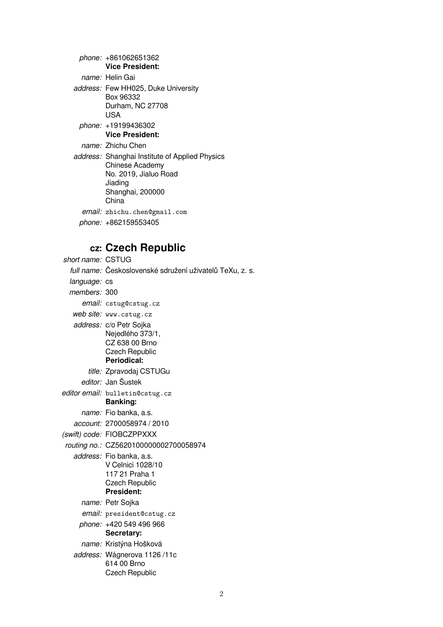| phone: +861062651362                                                                                                                      |
|-------------------------------------------------------------------------------------------------------------------------------------------|
| <b>Vice President:</b>                                                                                                                    |
| <i>name:</i> Helin Gai                                                                                                                    |
| address: Few HH025, Duke University<br>Box 96332<br>Durham, NC 27708<br>USA                                                               |
| phone: +19199436302<br><b>Vice President:</b>                                                                                             |
| <i>name:</i> Zhichu Chen                                                                                                                  |
| address: Shanghai Institute of Applied Physics<br><b>Chinese Academy</b><br>No. 2019, Jialuo Road<br>Jiading<br>Shanghai, 200000<br>China |
| email: zhichu.chen@gmail.com                                                                                                              |
| phone: +862159553405                                                                                                                      |
|                                                                                                                                           |

# **cz: Czech Republic**

| short name: CSTUG |                                                                                                               |
|-------------------|---------------------------------------------------------------------------------------------------------------|
|                   | full name: Československé sdružení uživatelů TeXu, z. s.                                                      |
| language: cs      |                                                                                                               |
| members: 300      |                                                                                                               |
|                   | email: cstug@cstug.cz                                                                                         |
|                   | web site: www.cstug.cz                                                                                        |
|                   | address: c/o Petr Sojka<br>Nejedlého 373/1,<br>CZ 638 00 Brno<br><b>Czech Republic</b><br>Periodical:         |
|                   | title: Zpravodaj CSTUGu                                                                                       |
|                   | editor: Jan Šustek                                                                                            |
|                   | editor email: bulletin@cstug.cz<br><b>Banking:</b>                                                            |
|                   | name: Fio banka, a.s.                                                                                         |
|                   | account: 2700058974 / 2010                                                                                    |
|                   | (swift) code: FIOBCZPPXXX                                                                                     |
|                   | routing no.: CZ5620100000002700058974                                                                         |
|                   | address: Fio banka, a.s.<br>V Celnici 1028/10<br>117 21 Praha 1<br><b>Czech Republic</b><br><b>President:</b> |
|                   | name: Petr Sojka                                                                                              |
|                   | email: president@cstug.cz                                                                                     |
|                   | phone: +420 549 496 966<br>Secretary:                                                                         |
|                   | name: Kristýna Hošková                                                                                        |
|                   | address: Wágnerova 1126/11c<br>614 00 Brno<br><b>Czech Republic</b>                                           |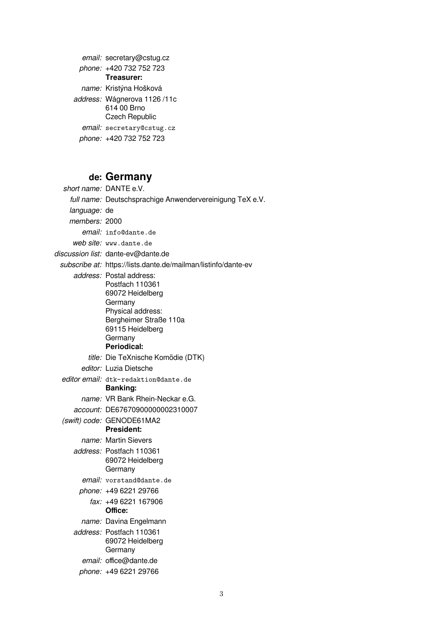email: secretary@cstug.cz phone: +420 732 752 723 **Treasurer:** name: Kristýna Hošková address: Wágnerova 1126 /11c 614 00 Brno Czech Republic email: secretary@cstug.cz phone: +420 732 752 723

### **de: Germany**

short name: DANTE e.V. full name: Deutschsprachige Anwendervereinigung TeX e.V. language: de members: 2000 email: info@dante.de web site: www.dante.de discussion list: dante-ev@dante.de subscribe at: https://lists.dante.de/mailman/listinfo/dante-ev address: Postal address: Postfach 110361 69072 Heidelberg **Germany** Physical address: Bergheimer Straße 110a 69115 Heidelberg **Germany Periodical:** title: Die TeXnische Komödie (DTK) editor: Luzia Dietsche editor email: dtk-redaktion@dante.de **Banking:** name: VR Bank Rhein-Neckar e.G. account: DE67670900000002310007 (swift) code: GENODE61MA2 **President:** name: Martin Sievers address: Postfach 110361 69072 Heidelberg Germany email: vorstand@dante.de phone: +49 6221 29766 fax: +49 6221 167906 **Office:** name: Davina Engelmann address: Postfach 110361 69072 Heidelberg **Germany** email: office@dante.de phone: +49 6221 29766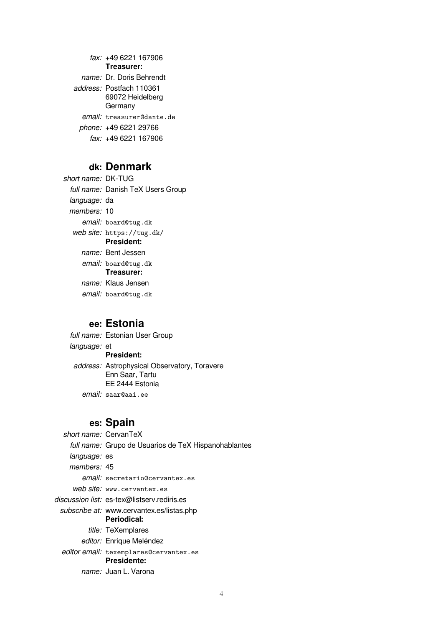fax: +49 6221 167906 **Treasurer:** name: Dr. Doris Behrendt address: Postfach 110361 69072 Heidelberg **Germany** email: treasurer@dante.de phone: +49 6221 29766 fax: +49 6221 167906

#### **dk: Denmark**

short name: DK-TUG full name: Danish TeX Users Group language: da members: 10 email: board@tug.dk web site: https://tug.dk/ **President:** name: Bent Jessen email: board@tug.dk **Treasurer:** name: Klaus Jensen email: board@tug.dk

#### **ee: Estonia**

full name: Estonian User Group language: et **President:** address: Astrophysical Observatory, Toravere Enn Saar, Tartu EE 2444 Estonia email: saar@aai.ee

### **es: Spain**

short name: CervanTeX full name: Grupo de Usuarios de TeX Hispanohablantes language: es members: 45 email: secretario@cervantex.es web site: www.cervantex.es discussion list: es-tex@listserv.rediris.es subscribe at: www.cervantex.es/listas.php **Periodical:** title: TeXemplares editor: Enrique Meléndez editor email: texemplares@cervantex.es **Presidente:** name: Juan L. Varona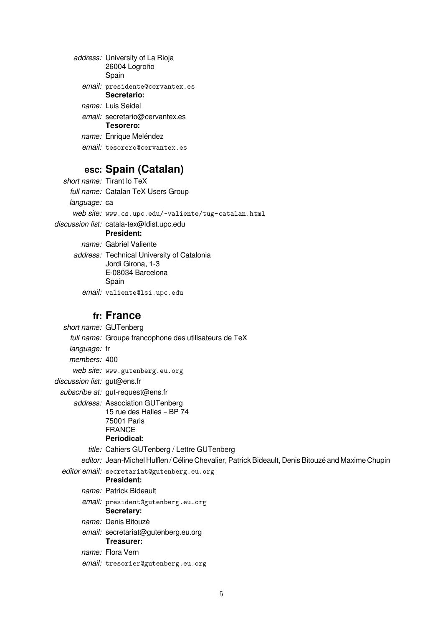| address: University of La Rioja<br>26004 Logroño<br>Spain |
|-----------------------------------------------------------|
| email: presidente@cervantex.es<br>Secretario:             |
| name: Luis Seidel                                         |
| email: secretario@cervantex.es<br>Tesorero:               |
| name: Enrique Meléndez                                    |
| <i>email:</i> tesorero@cervantex.es                       |

# **esc: Spain (Catalan)**

|                     | short name: Tirant lo TeX                                                                     |
|---------------------|-----------------------------------------------------------------------------------------------|
|                     | full name: Catalan TeX Users Group                                                            |
| <i>language:</i> ca |                                                                                               |
|                     | web site: www.cs.upc.edu/~valiente/tug-catalan.html                                           |
|                     | discussion list: catala-tex@ldist.upc.edu<br><b>President:</b>                                |
|                     | name: Gabriel Valiente                                                                        |
|                     | address: Technical University of Catalonia<br>Jordi Girona, 1-3<br>E-08034 Barcelona<br>Spain |
|                     | email: valiente@lsi.upc.edu                                                                   |
|                     |                                                                                               |

## **fr: France**

|                             | short name: GUTenberg                                                                                      |
|-----------------------------|------------------------------------------------------------------------------------------------------------|
|                             | full name: Groupe francophone des utilisateurs de TeX                                                      |
| language: fr                |                                                                                                            |
| members: 400                |                                                                                                            |
|                             | web site: www.gutenberg.eu.org                                                                             |
| discussion list: gut@ens.fr |                                                                                                            |
|                             | subscribe at: gut-request@ens.fr                                                                           |
|                             | address: Association GUTenberg<br>15 rue des Halles - BP 74<br>75001 Paris<br><b>FRANCE</b><br>Periodical: |
|                             | title: Cahiers GUTenberg / Lettre GUTenberg                                                                |
|                             | editor: Jean-Michel Hufflen / Céline Chevalier, Patrick Bideault, Denis Bitouzé and Maxime Chupin          |
|                             | editor email: secretariat@gutenberg.eu.org<br><b>President:</b>                                            |
|                             | name: Patrick Bideault                                                                                     |
|                             |                                                                                                            |
|                             | email: president@gutenberg.eu.org<br>Secretary:                                                            |
|                             | name: Denis Bitouzé                                                                                        |
|                             | email: secretariat@gutenberg.eu.org<br>Treasurer:                                                          |
|                             | name: Flora Vern                                                                                           |
|                             | email: tresorier@gutenberg.eu.org                                                                          |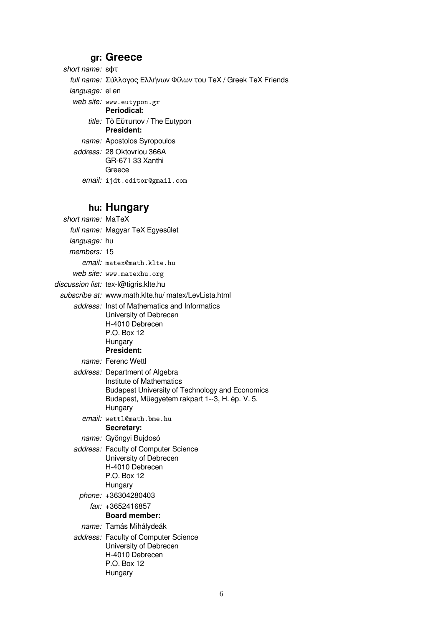## **gr: Greece**

short name: ɛϕτ

full name: Σύλλογος Ελλήνων Φίλων του TeX / Greek TeX Friends

language: el en

web site: www.eutypon.gr

**Periodical:**

title: Τὸ Εὔτυπον / The Eutypon **President:**

name: Apostolos Syropoulos

address: 28 Oktovriou 366A GR-671 33 Xanthi Greece email: ijdt.editor@gmail.com

## **hu: Hungary**

| short name: MaTeX   |                                                                                                                                                                                   |
|---------------------|-----------------------------------------------------------------------------------------------------------------------------------------------------------------------------------|
|                     | full name: Magyar TeX Egyesület                                                                                                                                                   |
| <i>language:</i> hu |                                                                                                                                                                                   |
| members: 15         |                                                                                                                                                                                   |
|                     | email: matex@math.klte.hu                                                                                                                                                         |
|                     | web site: www.matexhu.org                                                                                                                                                         |
|                     | discussion list: tex-l@tigris.klte.hu                                                                                                                                             |
|                     | subscribe at: www.math.klte.hu/ matex/LevLista.html                                                                                                                               |
|                     | address: Inst of Mathematics and Informatics<br>University of Debrecen<br>H-4010 Debrecen<br>P.O. Box 12<br>Hungary<br><b>President:</b>                                          |
|                     | name: Ferenc Wettl                                                                                                                                                                |
|                     | address: Department of Algebra<br>Institute of Mathematics<br><b>Budapest University of Technology and Economics</b><br>Budapest, Műegyetem rakpart 1--3, H. ép. V. 5.<br>Hungary |
|                     | email: wettl@math.bme.hu<br>Secretary:                                                                                                                                            |
|                     | name: Gyöngyi Bujdosó                                                                                                                                                             |
|                     | address: Faculty of Computer Science<br>University of Debrecen<br>H-4010 Debrecen<br>P.O. Box 12<br>Hungary                                                                       |
|                     | phone: +36304280403                                                                                                                                                               |
|                     | fax: +3652416857<br><b>Board member:</b>                                                                                                                                          |
|                     | name: Tamás Mihálydeák                                                                                                                                                            |
|                     | address: Faculty of Computer Science<br>University of Debrecen<br>H-4010 Debrecen<br>P.O. Box 12<br>Hungary                                                                       |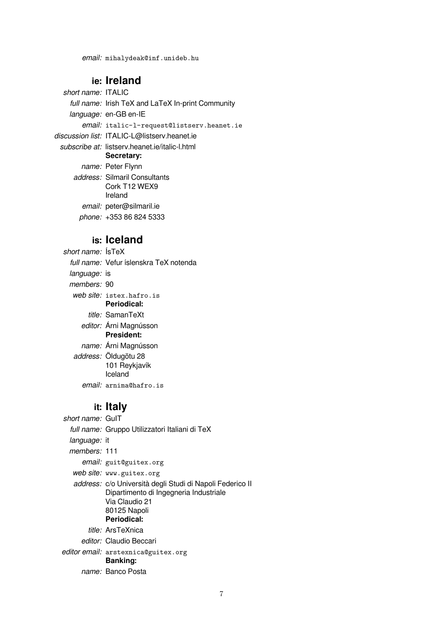#### **ie: Ireland**

short name: ITALIC full name: Irish TeX and LaTeX In-print Community language: en-GB en-IE email: italic-l-request@listserv.heanet.ie discussion list: ITALIC-L@listserv.heanet.ie subscribe at: listserv.heanet.ie/italic-l.html **Secretary:** name: Peter Flynn address: Silmaril Consultants Cork T12 WEX9 Ireland email: peter@silmaril.ie

phone: +353 86 824 5333

#### **is: Iceland**

short name: ÍsTeX full name: Vefur íslenskra TeX notenda language: is members: 90 web site: istex.hafro.is **Periodical:** title: SamanTeXt editor: Árni Magnússon **President:** name: Árni Magnússon address: Öldugötu 28 101 Reykjavík Iceland email: arnima@hafro.is

## **it: Italy**

| short name: GulT    |                                                                                                                                                      |
|---------------------|------------------------------------------------------------------------------------------------------------------------------------------------------|
|                     | full name: Gruppo Utilizzatori Italiani di TeX                                                                                                       |
| <i>language:</i> it |                                                                                                                                                      |
| members: 111        |                                                                                                                                                      |
|                     | email: guit@guitex.org                                                                                                                               |
|                     | web site: www.guitex.org                                                                                                                             |
|                     | address: c/o Università degli Studi di Napoli Federico II<br>Dipartimento di Ingegneria Industriale<br>Via Claudio 21<br>80125 Napoli<br>Periodical: |
|                     | <i>title:</i> ArsTeXnica                                                                                                                             |
|                     | <i>editor:</i> Claudio Beccari                                                                                                                       |
|                     | <i>editor email:</i> arstexnica@guitex.org<br><b>Banking:</b>                                                                                        |
|                     | name: Banco Posta                                                                                                                                    |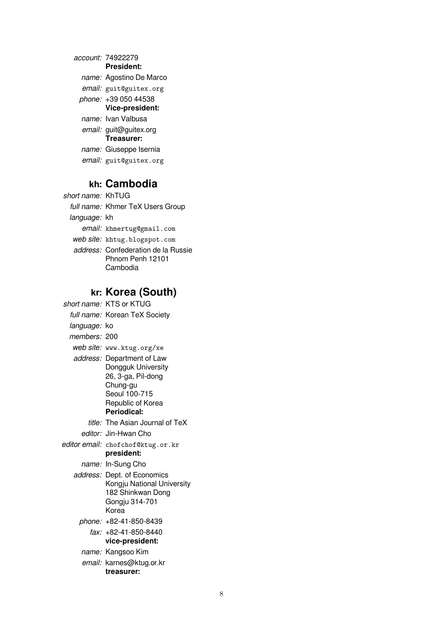| account: 74922279       |
|-------------------------|
| <b>President:</b>       |
| name: Agostino De Marco |
| email: guit@guitex.org  |
| phone: +39 050 44538    |
| Vice-president:         |
| name: Ivan Valbusa      |
| email: guit@guitex.org  |
| Treasurer:              |
| name: Giuseppe Isernia  |
| email: guit@guitex.org  |
|                         |

# **kh: Cambodia**

| short name: KhTUG |                                                                            |
|-------------------|----------------------------------------------------------------------------|
|                   | full name: Khmer TeX Users Group                                           |
| language: kh      |                                                                            |
|                   | email: khmertug@gmail.com                                                  |
|                   | web site: khtug.blogspot.com                                               |
|                   | <i>address:</i> Confederation de la Russie<br>Phnom Penh 12101<br>Cambodia |

# **kr: Korea (South)**

|                     | short name: KTS or KTUG                                                                                                                 |
|---------------------|-----------------------------------------------------------------------------------------------------------------------------------------|
|                     | full name: Korean TeX Society                                                                                                           |
| <i>language:</i> ko |                                                                                                                                         |
| members: 200        |                                                                                                                                         |
|                     | web site: www.ktug.org/xe                                                                                                               |
|                     | address: Department of Law<br>Dongguk University<br>26, 3-ga, Pil-dong<br>Chung-gu<br>Seoul 100-715<br>Republic of Korea<br>Periodical: |
|                     | title: The Asian Journal of TeX                                                                                                         |
|                     | editor: Jin-Hwan Cho                                                                                                                    |
|                     | editor email: chofchof@ktug.or.kr<br>president:                                                                                         |
|                     | name: In-Sung Cho                                                                                                                       |
|                     | address: Dept. of Economics<br>Kongju National University<br>182 Shinkwan Dong<br>Gongju 314-701<br>Korea                               |
|                     | phone: +82-41-850-8439                                                                                                                  |
|                     | fax: +82-41-850-8440<br>vice-president:                                                                                                 |
|                     | name: Kangsoo Kim                                                                                                                       |
|                     | email: karnes@ktug.or.kr<br>treasurer:                                                                                                  |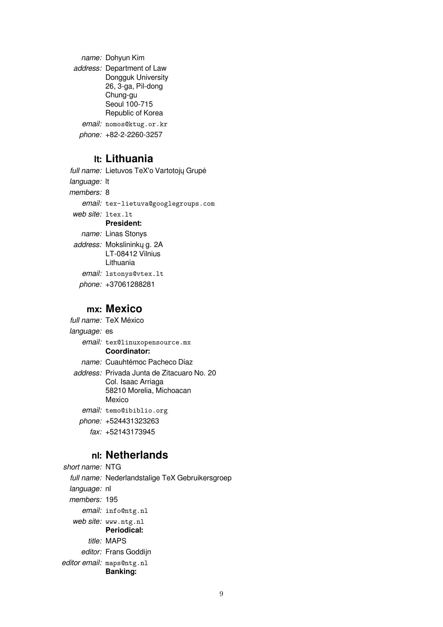name: Dohyun Kim address: Department of Law Dongguk University 26, 3-ga, Pil-dong Chung-gu Seoul 100-715 Republic of Korea email: nomos@ktug.or.kr phone: +82-2-2260-3257

## **lt: Lithuania**

full name: Lietuvos TeX'o Vartotojų Grupė language: It members: 8 email: tex-lietuva@googlegroups.com web site: ltex.lt **President:** name: Linas Stonys address: Mokslininkų g. 2A LT-08412 Vilnius Lithuania email: lstonys@vtex.lt phone: +37061288281

### **mx: Mexico**

full name: TeX México language: es email: tex@linuxopensource.mx **Coordinator:** name: Cuauhtémoc Pacheco Díaz address: Privada Junta de Zitacuaro No. 20 Col. Isaac Arriaga 58210 Morelia, Michoacan Mexico email: temo@ibiblio.org phone: +524431323263 fax: +52143173945

### **nl: Netherlands**

short name: NTG full name: Nederlandstalige TeX Gebruikersgroep language: nl members: 195 email: info@ntg.nl web site: www.ntg.nl **Periodical:** title: MAPS editor: Frans Goddijn editor email: maps@ntg.nl **Banking:**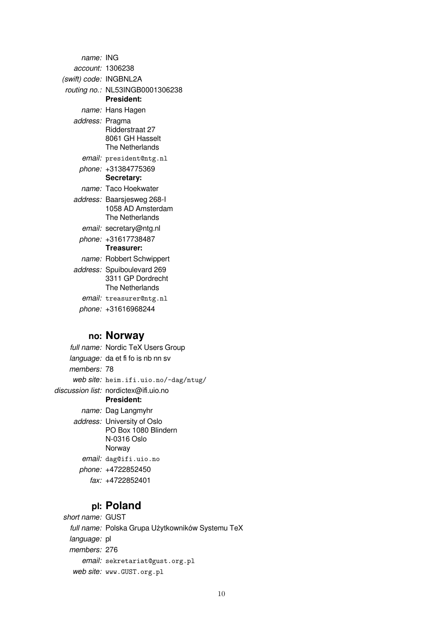| name: ING              |                                                                    |
|------------------------|--------------------------------------------------------------------|
|                        | account: 1306238                                                   |
| (swift) code: INGBNL2A |                                                                    |
|                        | routing no.: NL53INGB0001306238<br><b>President:</b>               |
|                        | name: Hans Hagen                                                   |
| address: Pragma        | Ridderstraat 27<br>8061 GH Hasselt<br>The Netherlands              |
|                        | email: president@ntg.nl                                            |
|                        | phone: +31384775369<br>Secretary:                                  |
|                        | name: Taco Hoekwater                                               |
|                        | address: Baarsjesweg 268-I<br>1058 AD Amsterdam<br>The Netherlands |
|                        | email: secretary@ntg.nl                                            |
|                        | phone: +31617738487<br>Treasurer:                                  |
|                        | name: Robbert Schwippert                                           |
|                        | address: Spuiboulevard 269<br>3311 GP Dordrecht<br>The Netherlands |
|                        | email: treasurer@ntg.nl                                            |
|                        | phone: +31616968244                                                |

## **no: Norway**

full name: Nordic TeX Users Group language: da et fi fo is nb nn sv members: 78 web site: heim.ifi.uio.no/~dag/ntug/ discussion list: nordictex@ifi.uio.no **President:** name: Dag Langmyhr address: University of Oslo PO Box 1080 Blindern N-0316 Oslo Norway email: dag@ifi.uio.no phone: +4722852450 fax: +4722852401

## **pl: Poland**

short name: GUST full name: Polska Grupa Użytkowników Systemu TeX language: pl members: 276 email: sekretariat@gust.org.pl web site: www.GUST.org.pl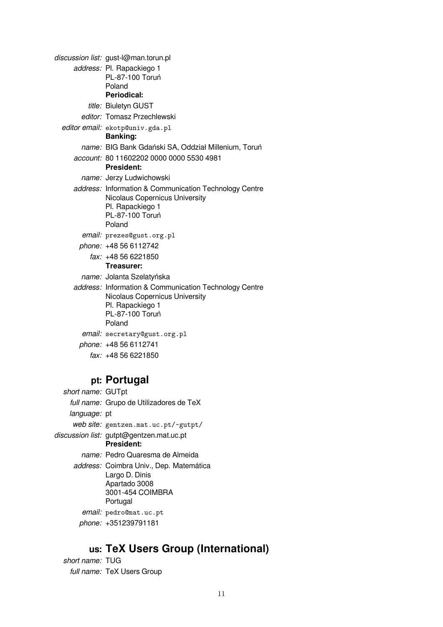| discussion list: gust-l@man.torun.pl                                                                                                             |
|--------------------------------------------------------------------------------------------------------------------------------------------------|
| address: Pl. Rapackiego 1                                                                                                                        |
| PL-87-100 Toruń                                                                                                                                  |
| Poland                                                                                                                                           |
| Periodical:                                                                                                                                      |
| title: Biuletyn GUST                                                                                                                             |
| editor: Tomasz Przechlewski                                                                                                                      |
| editor email: ekotp@univ.gda.pl<br><b>Banking:</b>                                                                                               |
| name: BIG Bank Gdański SA, Oddział Millenium, Toruń                                                                                              |
| account: 80 11602202 0000 0000 5530 4981<br><b>President:</b>                                                                                    |
| name: Jerzy Ludwichowski                                                                                                                         |
| address: Information & Communication Technology Centre<br><b>Nicolaus Copernicus University</b><br>Pl. Rapackiego 1<br>PL-87-100 Toruń<br>Poland |
| email: prezes@gust.org.pl                                                                                                                        |
| phone: +48 56 6112742                                                                                                                            |
| fax: +48 56 6221850<br>Treasurer:                                                                                                                |
| name: Jolanta Szelatyńska                                                                                                                        |
| address: Information & Communication Technology Centre<br>Nicolaus Copernicus University<br>Pl. Rapackiego 1<br>PL-87-100 Toruń<br>Poland        |
| email: secretary@gust.org.pl                                                                                                                     |
| phone: +48 56 6112741                                                                                                                            |
| fax: +48 56 6221850                                                                                                                              |

## **pt: Portugal**

short name: GUTpt full name: Grupo de Utilizadores de TeX language: pt web site: gentzen.mat.uc.pt/~gutpt/ discussion list: gutpt@gentzen.mat.uc.pt **President:** name: Pedro Quaresma de Almeida address: Coimbra Univ., Dep. Matemática Largo D. Dinis Apartado 3008 3001-454 COIMBRA Portugal email: pedro@mat.uc.pt phone: +351239791181

## **us: TeX Users Group (International)**

short name: TUG full name: TeX Users Group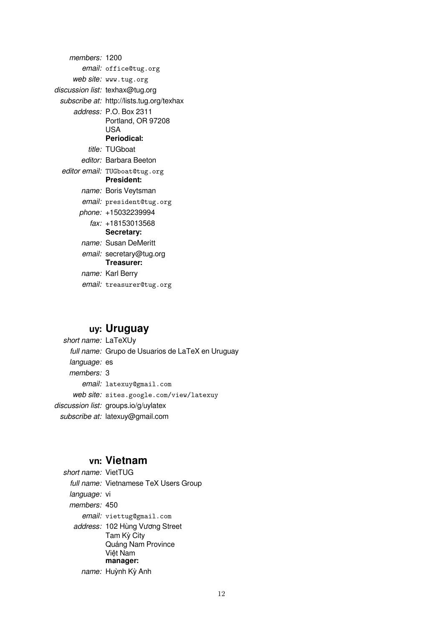members: 1200 email: office@tug.org web site: www.tug.org discussion list: texhax@tug.org subscribe at: http://lists.tug.org/texhax address: P.O. Box 2311 Portland, OR 97208 USA **Periodical:** title: TUGboat editor: Barbara Beeton editor email: TUGboat@tug.org **President:** name: Boris Veytsman email: president@tug.org phone: +15032239994 fax: +18153013568 **Secretary:** name: Susan DeMeritt email: secretary@tug.org **Treasurer:** name: Karl Berry email: treasurer@tug.org

### **uy: Uruguay**

short name: LaTeXUy full name: Grupo de Usuarios de LaTeX en Uruguay language: es members: 3 email: latexuy@gmail.com web site: sites.google.com/view/latexuy discussion list: groups.io/g/uylatex subscribe at: latexuy@gmail.com

#### **vn: Vietnam**

short name: VietTUG full name: Vietnamese TeX Users Group language: vi members: 450 email: viettug@gmail.com address: 102 Hùng Vương Street Tam Kỳ City Quảng Nam Province Việt Nam **manager:** name: Huỳnh Kỳ Anh